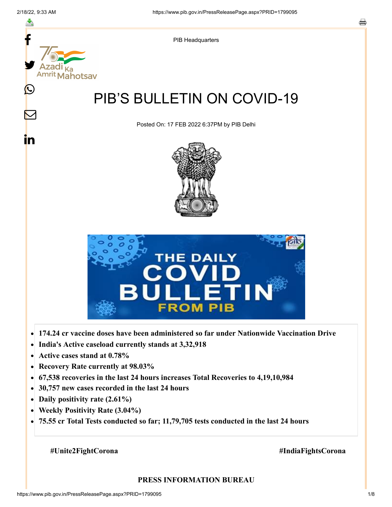

- **Active cases stand at 0.78%**  $\bullet$
- **Recovery Rate currently at 98.03%**  $\bullet$
- **67,538 recoveries in the last 24 hours increases Total Recoveries to 4,19,10,984**  $\bullet$
- **30,757 new cases recorded in the last 24 hours**  $\bullet$
- **Daily positivity rate (2.61%)**  $\bullet$
- **Weekly Positivity Rate (3.04%)**  $\bullet$
- **75.55 cr Total Tests conducted so far; 11,79,705 tests conducted in the last 24 hours**  $\bullet$

#### **#Unite2FightCorona #IndiaFightsCorona**

#### **PRESS INFORMATION BUREAU**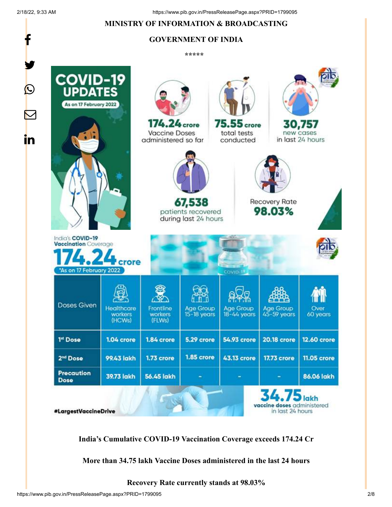f

## **MINISTRY OF INFORMATION & BROADCASTING**

# **GOVERNMENT OF INDIA**

**\*\*\*\*\*** 



**India's Cumulative COVID-19 Vaccination Coverage exceeds 174.24 Cr**

**More than 34.75 lakh Vaccine Doses administered in the last 24 hours**

**Recovery Rate currently stands at 98.03%**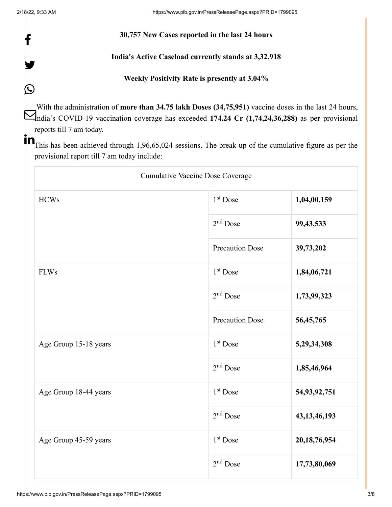f

Y

 $\bigcirc$ 

#### **30,757 New Cases reported in the last 24 hours**

### **India's Active Caseload currently stands at 3,32,918**

### **Weekly Positivity Rate is presently at 3.04%**

With the administration of **more than 34.75 lakh Doses (34,75,951)** vaccine doses in the last 24 hours, India's COVID-19 vaccination coverage has exceeded **174.24 Cr (1,74,24,36,288)** as per provisional reports till 7 am today.

**The set of the Set of the Set of the Set of the Set of the Set of the cumulative figure as per the Set of the set of the set of the set of the set of the set of the set of the set of the set of the set of the set of the s** provisional report till 7 am today include:

| <b>Cumulative Vaccine Dose Coverage</b> |                        |                 |  |
|-----------------------------------------|------------------------|-----------------|--|
| <b>HCWs</b>                             | $1st$ Dose             | 1,04,00,159     |  |
|                                         | $2nd$ Dose             | 99,43,533       |  |
|                                         | <b>Precaution Dose</b> | 39,73,202       |  |
| ${\rm FLWs}$                            | 1 <sup>st</sup> Dose   | 1,84,06,721     |  |
|                                         | $2nd$ Dose             | 1,73,99,323     |  |
|                                         | <b>Precaution Dose</b> | 56,45,765       |  |
| Age Group 15-18 years                   | 1 <sup>st</sup> Dose   | 5,29,34,308     |  |
|                                         | $2nd$ Dose             | 1,85,46,964     |  |
| Age Group 18-44 years                   | 1 <sup>st</sup> Dose   | 54,93,92,751    |  |
|                                         | $2nd$ Dose             | 43, 13, 46, 193 |  |
| Age Group 45-59 years                   | 1 <sup>st</sup> Dose   | 20, 18, 76, 954 |  |
|                                         | $2nd$ Dose             | 17,73,80,069    |  |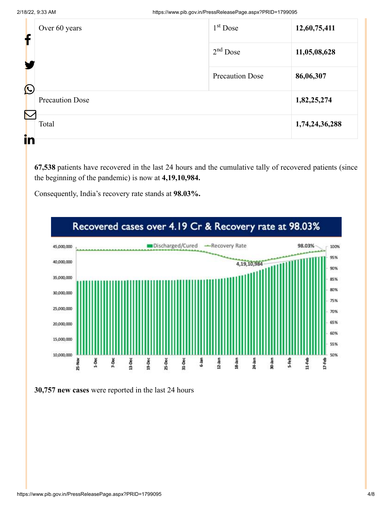|                       | Over 60 years<br>f     | $1st$ Dose             | 12,60,75,411   |
|-----------------------|------------------------|------------------------|----------------|
|                       |                        | $2nd$ Dose             | 11,05,08,628   |
| $\bigcirc$            |                        | <b>Precaution Dose</b> | 86,06,307      |
|                       | <b>Precaution Dose</b> |                        | 1,82,25,274    |
| $\boldsymbol{\nabla}$ | Total                  |                        | 1,74,24,36,288 |
| in                    |                        |                        |                |

**67,538** patients have recovered in the last 24 hours and the cumulative tally of recovered patients (since the beginning of the pandemic) is now at **4,19,10,984.**

Consequently, India's recovery rate stands at **98.03%.**



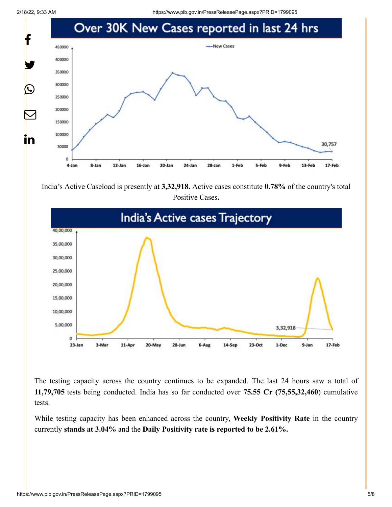2/18/22, 9:33 AM https://www.pib.gov.in/PressReleasePage.aspx?PRID=1799095



India's Active Caseload is presently at **3,32,918.** Active cases constitute **0.78%** of the country's total Positive Cases**.**



The testing capacity across the country continues to be expanded. The last 24 hours saw a total of **11,79,705** tests being conducted. India has so far conducted over **75.55 Cr (75,55,32,460**) cumulative tests.

While testing capacity has been enhanced across the country, **Weekly Positivity Rate** in the country currently **stands at 3.04%** and the **Daily Positivity rate is reported to be 2.61%.**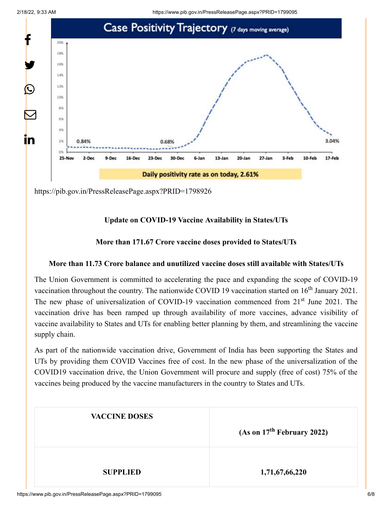



<https://pib.gov.in/PressReleasePage.aspx?PRID=1798926>

# **Update on COVID-19 Vaccine Availability in States/UTs**

# **More than 171.67 Crore vaccine doses provided to States/UTs**

## **More than 11.73 Crore balance and unutilized vaccine doses still available with States/UTs**

The Union Government is committed to accelerating the pace and expanding the scope of COVID-19 vaccination throughout the country. The nationwide COVID 19 vaccination started on  $16<sup>th</sup>$  January 2021. The new phase of universalization of COVID-19 vaccination commenced from 21<sup>st</sup> June 2021. The vaccination drive has been ramped up through availability of more vaccines, advance visibility of vaccine availability to States and UTs for enabling better planning by them, and streamlining the vaccine supply chain.

As part of the nationwide vaccination drive, Government of India has been supporting the States and UTs by providing them COVID Vaccines free of cost. In the new phase of the universalization of the COVID19 vaccination drive, the Union Government will procure and supply (free of cost) 75% of the vaccines being produced by the vaccine manufacturers in the country to States and UTs.

| <b>VACCINE DOSES</b> | (As on $17th$ February 2022) |  |
|----------------------|------------------------------|--|
| <b>SUPPLIED</b>      | 1,71,67,66,220               |  |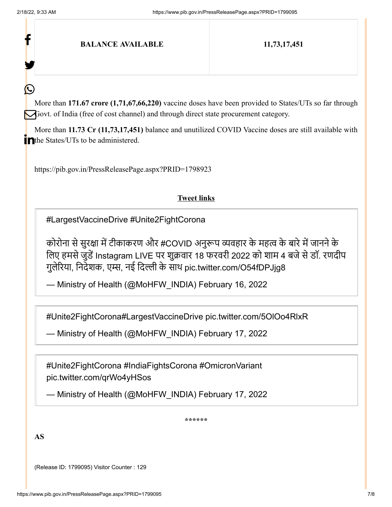f

У.

(L

**BALANCE AVAILABLE 11,73,17,451**

More than **171.67 crore (1,71,67,66,220)** vaccine doses have been provided to States/UTs so far through Govt. of India (free of cost channel) and through direct state procurement category.

More than **11.73 Cr (11,73,17,451)** balance and unutilized COVID Vaccine doses are still available with The States/UTs to be administered.

<https://pib.gov.in/PressReleasePage.aspx?PRID=1798923>

#### **Tweet links**

[#LargestVaccineDrive](https://twitter.com/hashtag/LargestVaccineDrive?src=hash&ref_src=twsrc%5Etfw) [#Unite2FightCorona](https://twitter.com/hashtag/Unite2FightCorona?src=hash&ref_src=twsrc%5Etfw)

कोरोना से सुरक्षा में टीकाकरण और [#COVID](https://twitter.com/hashtag/COVID?src=hash&ref_src=twsrc%5Etfw) अनुरूप व्यवहार के महत्व के बारे में जानने के लिए हमसे जुडें Instagram LIVE पर शुक्रवार 18 फरवरी 2022 को शाम 4 बजे से डॉ. रणदीप गुलेरिया, निदेशक, एम्स, नई दिल्ली के साथ [pic.twitter.com/O54fDPJjg8](https://t.co/O54fDPJjg8)

— Ministry of Health (@MoHFW\_INDIA) [February 16, 2022](https://twitter.com/MoHFW_INDIA/status/1493850204004810753?ref_src=twsrc%5Etfw)

[#Unite2FightCorona](https://twitter.com/hashtag/Unite2FightCorona?src=hash&ref_src=twsrc%5Etfw)[#LargestVaccineDrive](https://twitter.com/hashtag/LargestVaccineDrive?src=hash&ref_src=twsrc%5Etfw) [pic.twitter.com/5OlOo4RlxR](https://t.co/5OlOo4RlxR)

— Ministry of Health (@MoHFW\_INDIA) [February 17, 2022](https://twitter.com/MoHFW_INDIA/status/1494192439485415427?ref_src=twsrc%5Etfw)

[#Unite2FightCorona](https://twitter.com/hashtag/Unite2FightCorona?src=hash&ref_src=twsrc%5Etfw) [#IndiaFightsCorona](https://twitter.com/hashtag/IndiaFightsCorona?src=hash&ref_src=twsrc%5Etfw) [#OmicronVariant](https://twitter.com/hashtag/OmicronVariant?src=hash&ref_src=twsrc%5Etfw) [pic.twitter.com/qrWo4yHSos](https://t.co/qrWo4yHSos)

— Ministry of Health (@MoHFW\_INDIA) [February 17, 2022](https://twitter.com/MoHFW_INDIA/status/1494121801756344320?ref_src=twsrc%5Etfw)

**\*\*\*\*\*\***

**AS**

(Release ID: 1799095) Visitor Counter : 129